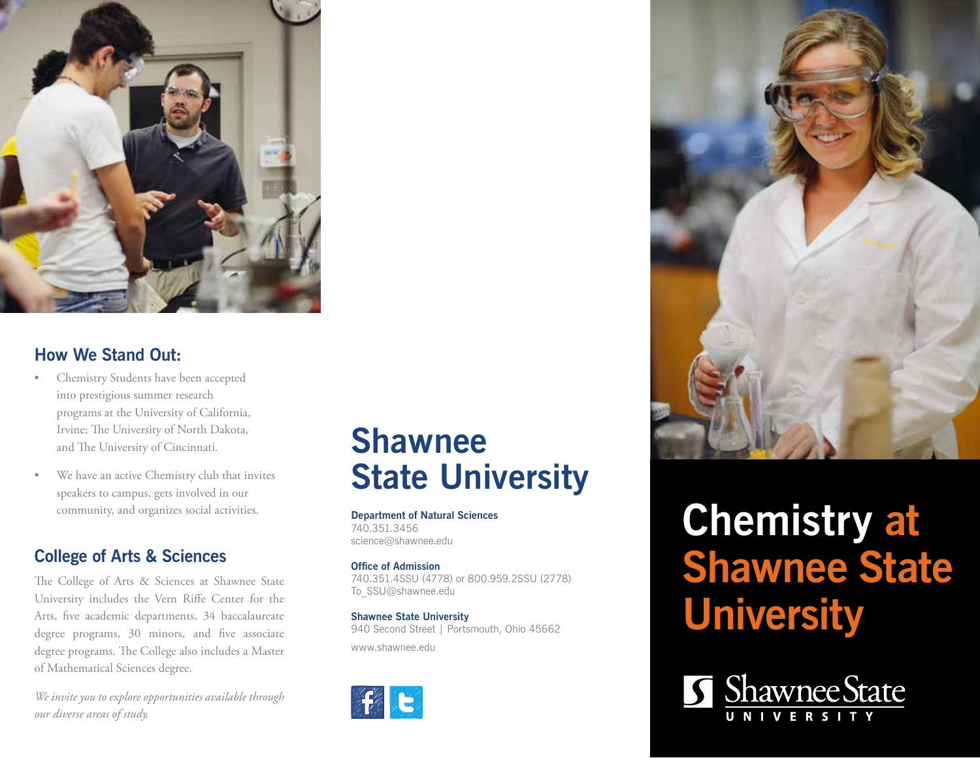

## **How We Stand Out:**

- Chemistry Students have been accepted into prestigious summer research programs at the University of California, Irvine; The University of North Dakota, and The University of Cincinnati.
- We have an active Chemistry club that invites speakers to campus, gets involved in our community, and organizes social activities.

## **College of Arts & Sciences**

The College of Arts & Sciences at Shawnee State University includes the Vern Riffe Center for the Arts, five academic departments, 34 baccalaureate degree programs, 30 minors, and five associate degree programs. The College also includes a Master of Mathematical Sciences degree.

*We invite you to explore opportunities available through our diverse areas of study.*

# **Shawnee State University**

**Department of Natural Sciences** 740.351.3456 science@shawnee.edu

**Office of Admission** 740.351.4SSU (4778) or 800.959.2SSU (2778) To\_SSU@shawnee.edu

**Shawnee State University** 940 Second Street | Portsmouth, Ohio 45662 www.shawnee.edu





# **Chemistry at Shawnee State University**